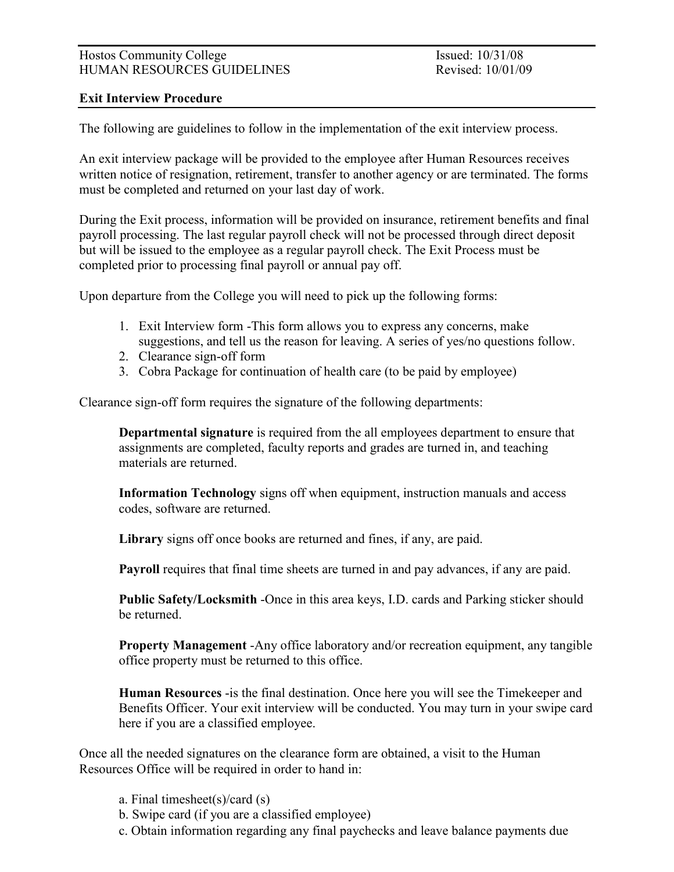### Hostos Community College Issued: 10/31/08 HUMAN RESOURCES GUIDELINES Revised: 10/01/09

### Exit Interview Procedure

The following are guidelines to follow in the implementation of the exit interview process.

An exit interview package will be provided to the employee after Human Resources receives written notice of resignation, retirement, transfer to another agency or are terminated. The forms must be completed and returned on your last day of work.

During the Exit process, information will be provided on insurance, retirement benefits and final payroll processing. The last regular payroll check will not be processed through direct deposit but will be issued to the employee as a regular payroll check. The Exit Process must be completed prior to processing final payroll or annual pay off.

Upon departure from the College you will need to pick up the following forms:

- 1. Exit Interview form -This form allows you to express any concerns, make suggestions, and tell us the reason for leaving. A series of yes/no questions follow.
- 2. Clearance sign-off form
- 3. Cobra Package for continuation of health care (to be paid by employee)

Clearance sign-off form requires the signature of the following departments:

 Departmental signature is required from the all employees department to ensure that assignments are completed, faculty reports and grades are turned in, and teaching materials are returned.

 Information Technology signs off when equipment, instruction manuals and access codes, software are returned.

Library signs off once books are returned and fines, if any, are paid.

Payroll requires that final time sheets are turned in and pay advances, if any are paid.

 Public Safety/Locksmith -Once in this area keys, I.D. cards and Parking sticker should be returned.

 Property Management -Any office laboratory and/or recreation equipment, any tangible office property must be returned to this office.

 Human Resources -is the final destination. Once here you will see the Timekeeper and Benefits Officer. Your exit interview will be conducted. You may turn in your swipe card here if you are a classified employee.

Once all the needed signatures on the clearance form are obtained, a visit to the Human Resources Office will be required in order to hand in:

- a. Final timesheet(s)/card (s)
- b. Swipe card (if you are a classified employee)
- c. Obtain information regarding any final paychecks and leave balance payments due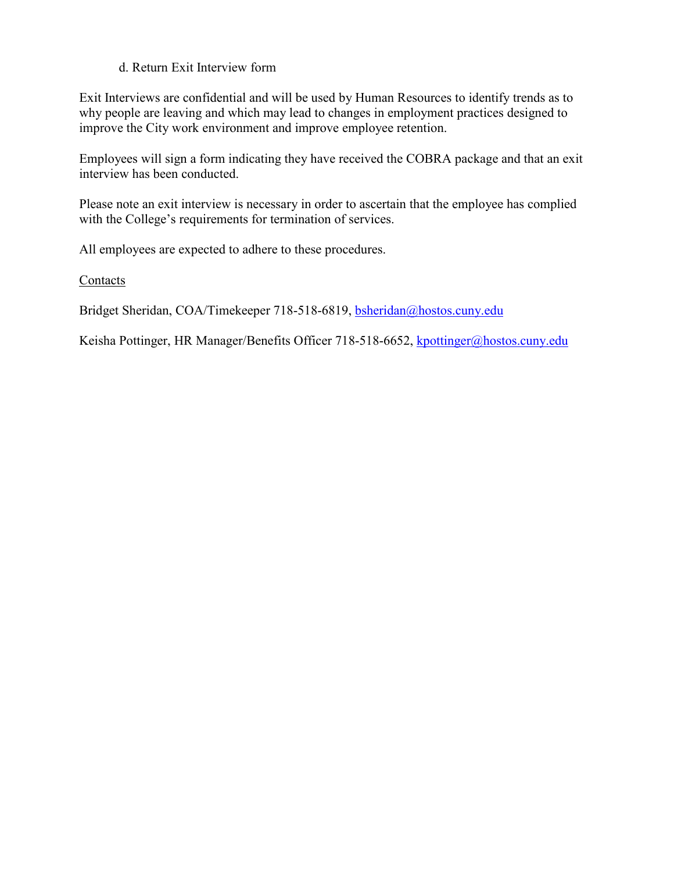### d. Return Exit Interview form

Exit Interviews are confidential and will be used by Human Resources to identify trends as to why people are leaving and which may lead to changes in employment practices designed to improve the City work environment and improve employee retention.

Employees will sign a form indicating they have received the COBRA package and that an exit interview has been conducted.

Please note an exit interview is necessary in order to ascertain that the employee has complied with the College's requirements for termination of services.

All employees are expected to adhere to these procedures.

Contacts

Bridget Sheridan, COA/Timekeeper 718-518-6819, bsheridan@hostos.cuny.edu

Keisha Pottinger, HR Manager/Benefits Officer 718-518-6652, kpottinger@hostos.cuny.edu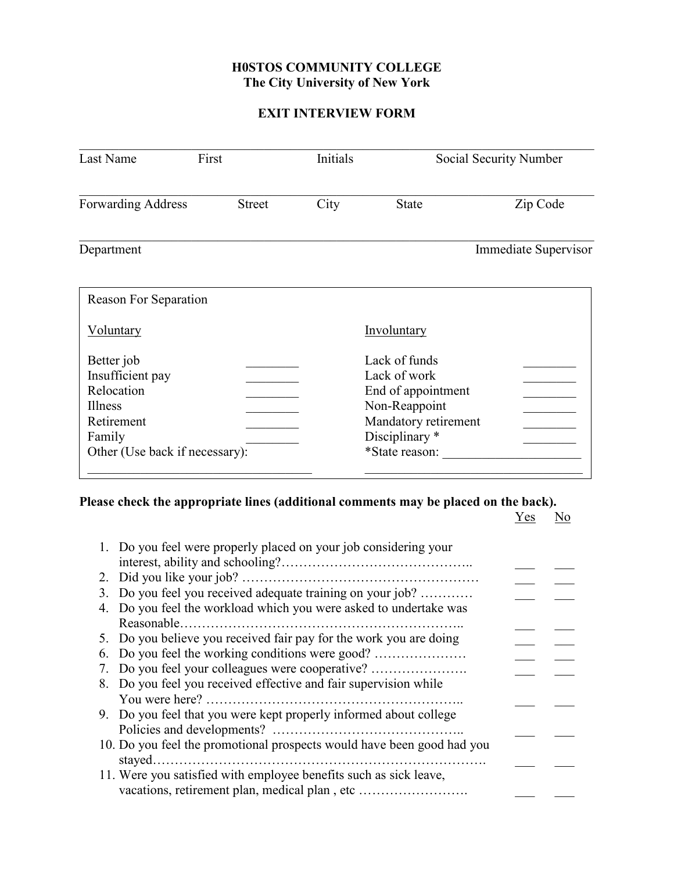### H0STOS COMMUNITY COLLEGE The City University of New York

## EXIT INTERVIEW FORM

| First<br>Last Name                                                                                                |               | Initials |                                                                                                                                  | Social Security Number |
|-------------------------------------------------------------------------------------------------------------------|---------------|----------|----------------------------------------------------------------------------------------------------------------------------------|------------------------|
| <b>Forwarding Address</b>                                                                                         | <b>Street</b> | City     | <b>State</b>                                                                                                                     | Zip Code               |
| Department                                                                                                        |               |          |                                                                                                                                  | Immediate Supervisor   |
| <b>Reason For Separation</b>                                                                                      |               |          |                                                                                                                                  |                        |
| <u>Voluntary</u>                                                                                                  |               |          | Involuntary                                                                                                                      |                        |
| Better job<br>Insufficient pay<br>Relocation<br>Illness<br>Retirement<br>Family<br>Other (Use back if necessary): |               |          | Lack of funds<br>Lack of work<br>End of appointment<br>Non-Reappoint<br>Mandatory retirement<br>Disciplinary *<br>*State reason: |                        |

### Please check the appropriate lines (additional comments may be placed on the back).

|                                                                                                                                             | <b>Yes</b> |  |
|---------------------------------------------------------------------------------------------------------------------------------------------|------------|--|
| 1. Do you feel were properly placed on your job considering your                                                                            |            |  |
|                                                                                                                                             |            |  |
|                                                                                                                                             |            |  |
| 3. Do you feel you received adequate training on your job?<br>Do you feel the workload which you were asked to undertake was<br>Reasonable. |            |  |
| 5. Do you believe you received fair pay for the work you are doing                                                                          |            |  |
| 6. Do you feel the working conditions were good?                                                                                            |            |  |
|                                                                                                                                             |            |  |
| 7. Do you feel your colleagues were cooperative?<br>8. Do you feel you received effective and fair supervision while                        |            |  |
| 9. Do you feel that you were kept properly informed about college                                                                           |            |  |
| 10. Do you feel the promotional prospects would have been good had you<br>stayed.                                                           |            |  |
| 11. Were you satisfied with employee benefits such as sick leave,                                                                           |            |  |
|                                                                                                                                             |            |  |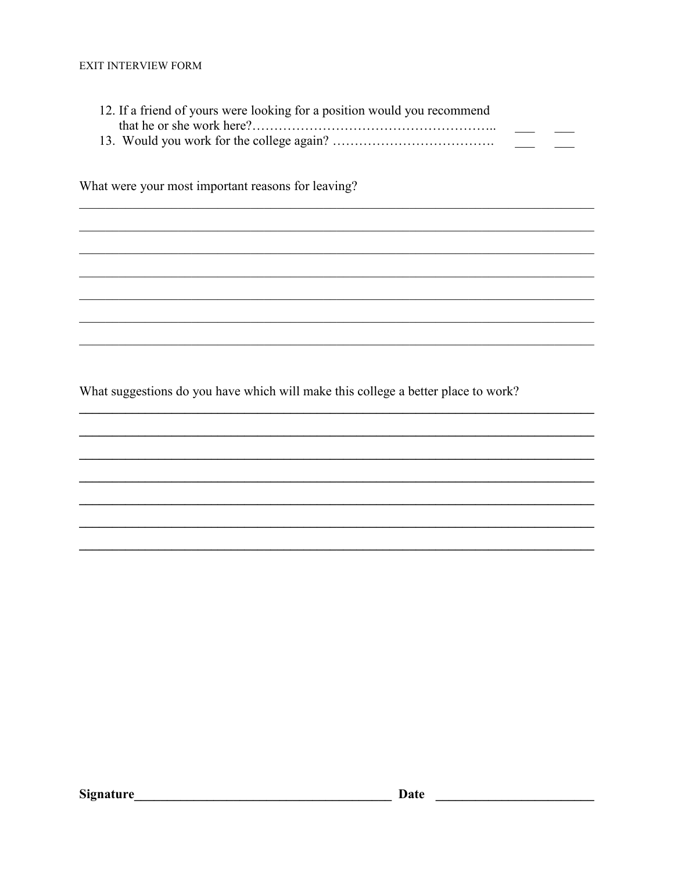| 12. If a friend of yours were looking for a position would you recommend |  |
|--------------------------------------------------------------------------|--|
|                                                                          |  |
|                                                                          |  |

What were your most important reasons for leaving?

What suggestions do you have which will make this college a better place to work?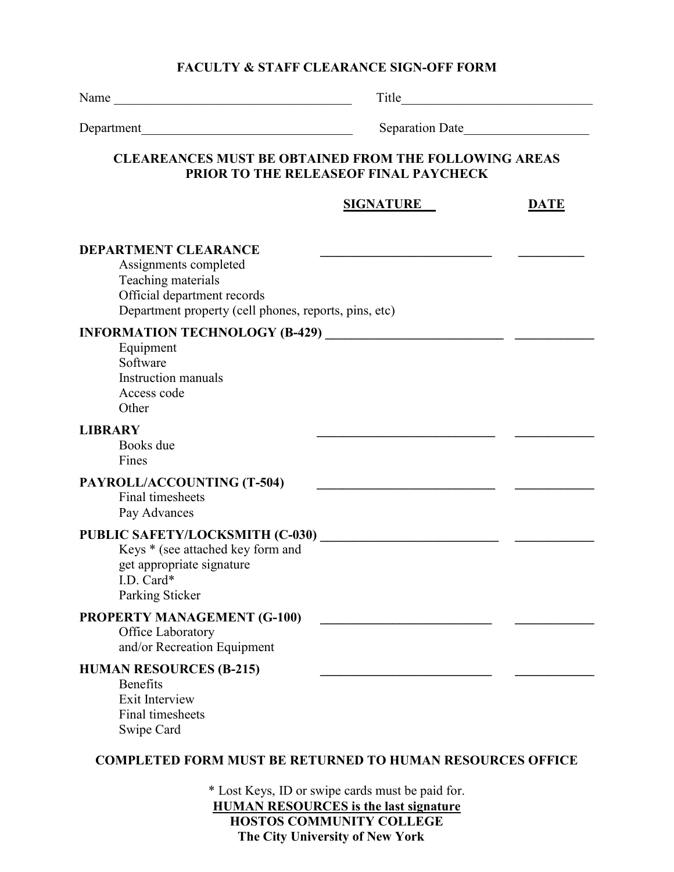### FACULTY & STAFF CLEARANCE SIGN-OFF FORM

| Name                                                                                                                                                               | Title                                            |             |
|--------------------------------------------------------------------------------------------------------------------------------------------------------------------|--------------------------------------------------|-------------|
| Department                                                                                                                                                         | Separation Date                                  |             |
| <b>CLEAREANCES MUST BE OBTAINED FROM THE FOLLOWING AREAS</b>                                                                                                       | PRIOR TO THE RELEASEOF FINAL PAYCHECK            |             |
|                                                                                                                                                                    | <b>SIGNATURE</b>                                 | <b>DATE</b> |
| <b>DEPARTMENT CLEARANCE</b><br>Assignments completed<br>Teaching materials<br>Official department records<br>Department property (cell phones, reports, pins, etc) |                                                  |             |
| Equipment<br>Software<br><b>Instruction manuals</b><br>Access code<br>Other                                                                                        |                                                  |             |
| <b>LIBRARY</b><br>Books due<br>Fines                                                                                                                               |                                                  |             |
| PAYROLL/ACCOUNTING (T-504)<br>Final timesheets<br>Pay Advances                                                                                                     |                                                  |             |
| Keys * (see attached key form and<br>get appropriate signature<br>I.D. Card $*$<br>Parking Sticker                                                                 |                                                  |             |
| <b>PROPERTY MANAGEMENT (G-100)</b><br>Office Laboratory<br>and/or Recreation Equipment                                                                             |                                                  |             |
| <b>HUMAN RESOURCES (B-215)</b><br><b>Benefits</b><br>Exit Interview<br>Final timesheets<br>Swipe Card                                                              |                                                  |             |
| <b>COMPLETED FORM MUST BE RETURNED TO HUMAN RESOURCES OFFICE</b>                                                                                                   |                                                  |             |
|                                                                                                                                                                    | * Lost Keys, ID or swipe cards must be paid for. |             |

HUMAN RESOURCES is the last signature HOSTOS COMMUNITY COLLEGE The City University of New York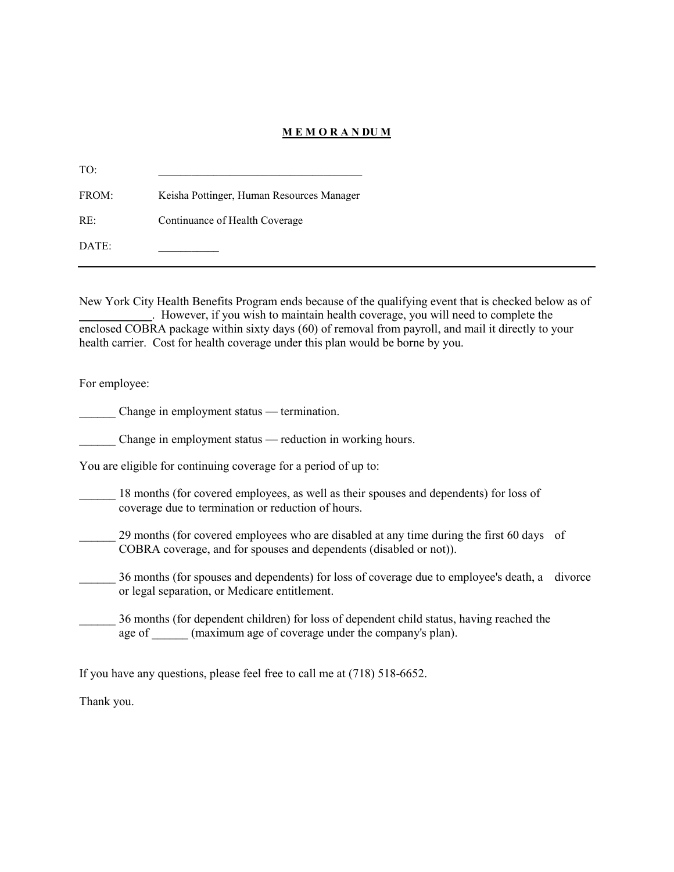#### M E M O R A N DU M

TO: \_\_\_\_\_\_\_\_\_\_\_\_\_\_\_\_\_\_\_\_\_\_\_\_\_\_\_\_\_\_\_\_\_\_\_\_\_ FROM: Keisha Pottinger, Human Resources Manager RE: Continuance of Health Coverage DATE:

New York City Health Benefits Program ends because of the qualifying event that is checked below as of \_\_\_\_\_\_\_\_\_\_\_\_. However, if you wish to maintain health coverage, you will need to complete the enclosed COBRA package within sixty days (60) of removal from payroll, and mail it directly to your health carrier. Cost for health coverage under this plan would be borne by you.

For employee:

Change in employment status — termination.

Change in employment status — reduction in working hours.

You are eligible for continuing coverage for a period of up to:

18 months (for covered employees, as well as their spouses and dependents) for loss of coverage due to termination or reduction of hours.

29 months (for covered employees who are disabled at any time during the first 60 days of COBRA coverage, and for spouses and dependents (disabled or not)).

\_\_\_\_\_\_ 36 months (for spouses and dependents) for loss of coverage due to employee's death, a divorce or legal separation, or Medicare entitlement.

\_\_\_\_\_\_ 36 months (for dependent children) for loss of dependent child status, having reached the age of  $\qquad$  (maximum age of coverage under the company's plan).

If you have any questions, please feel free to call me at (718) 518-6652.

Thank you.